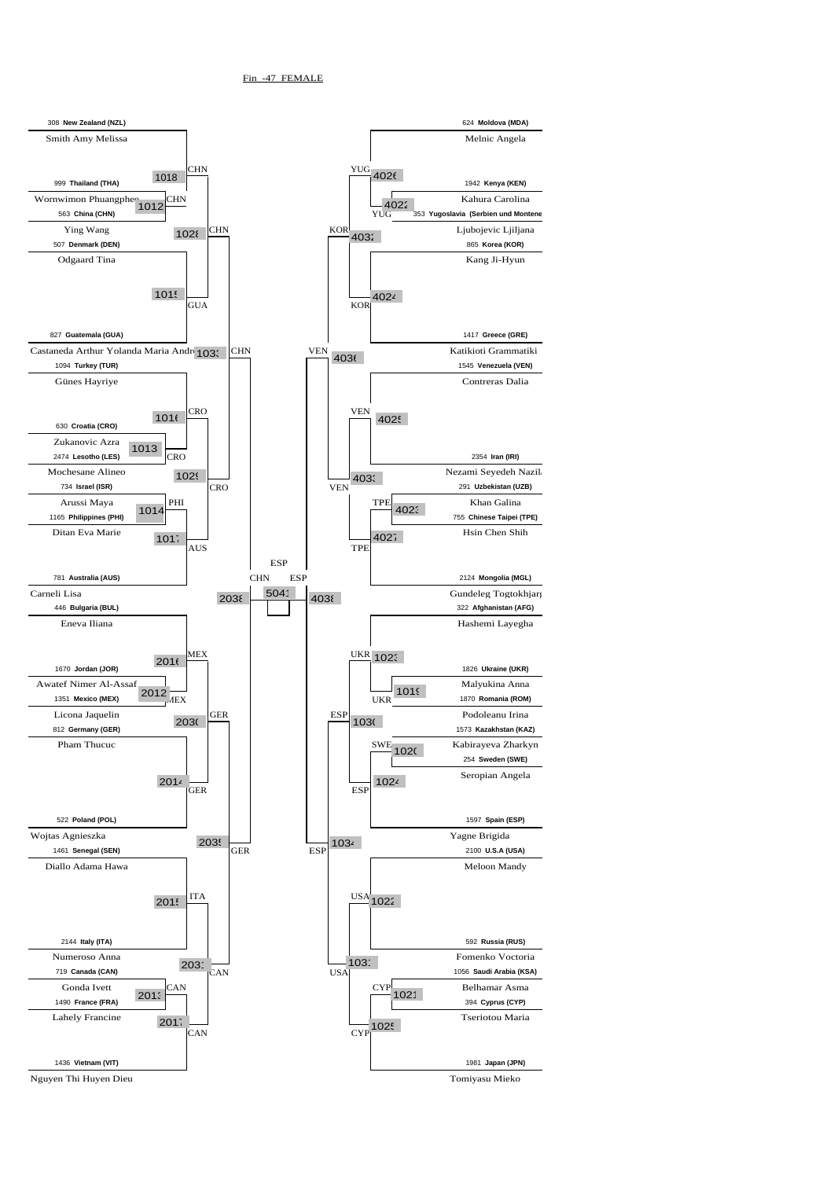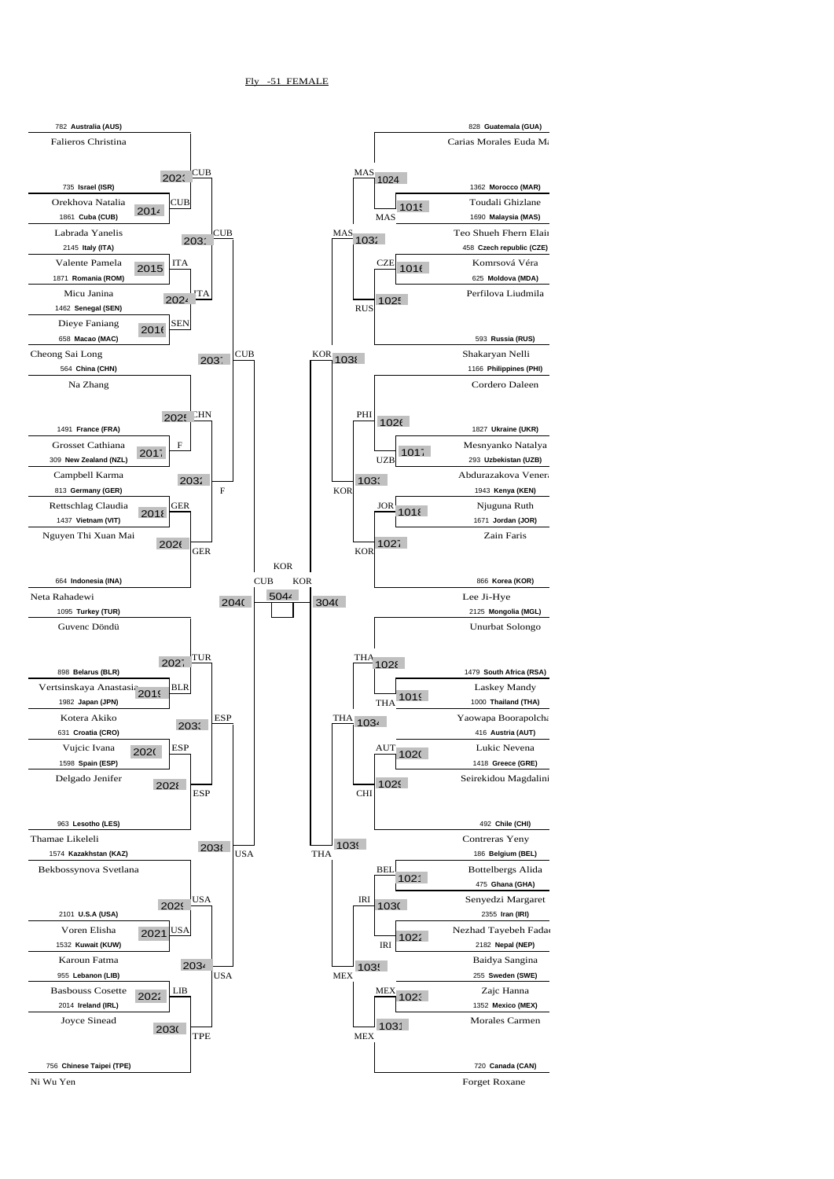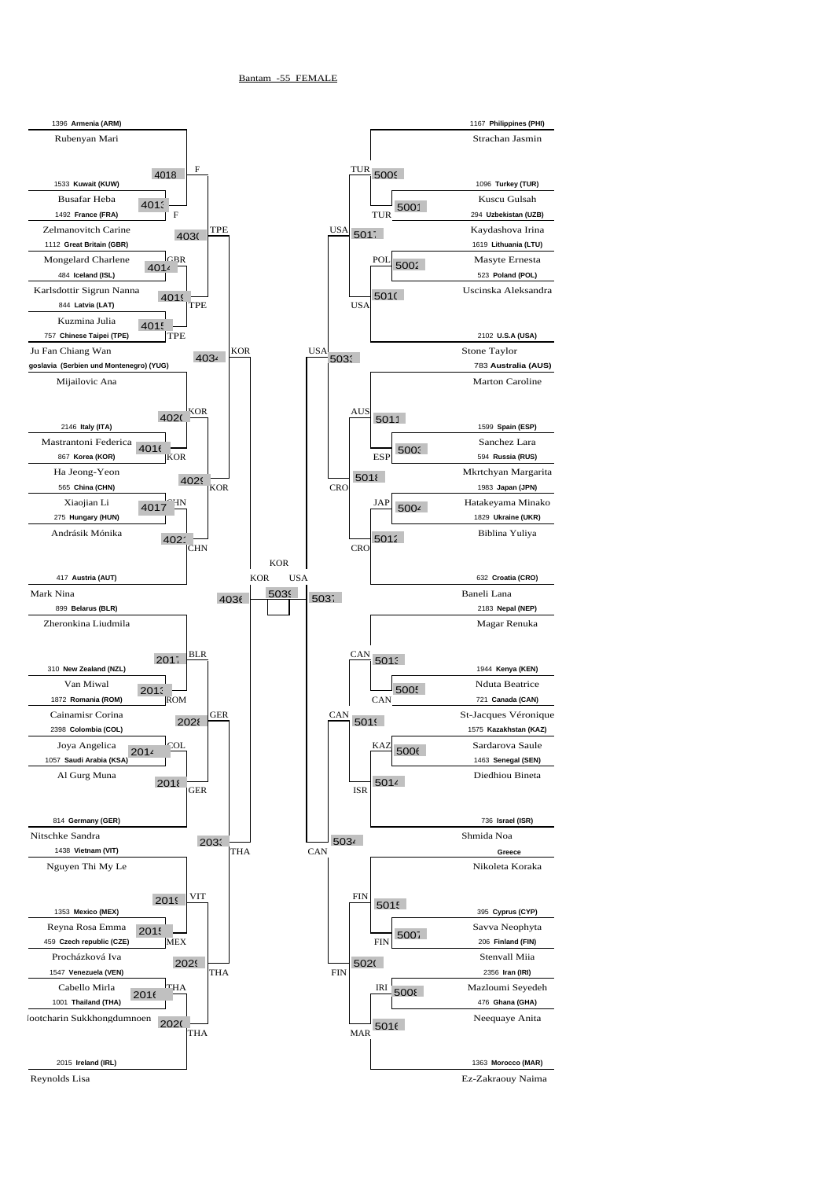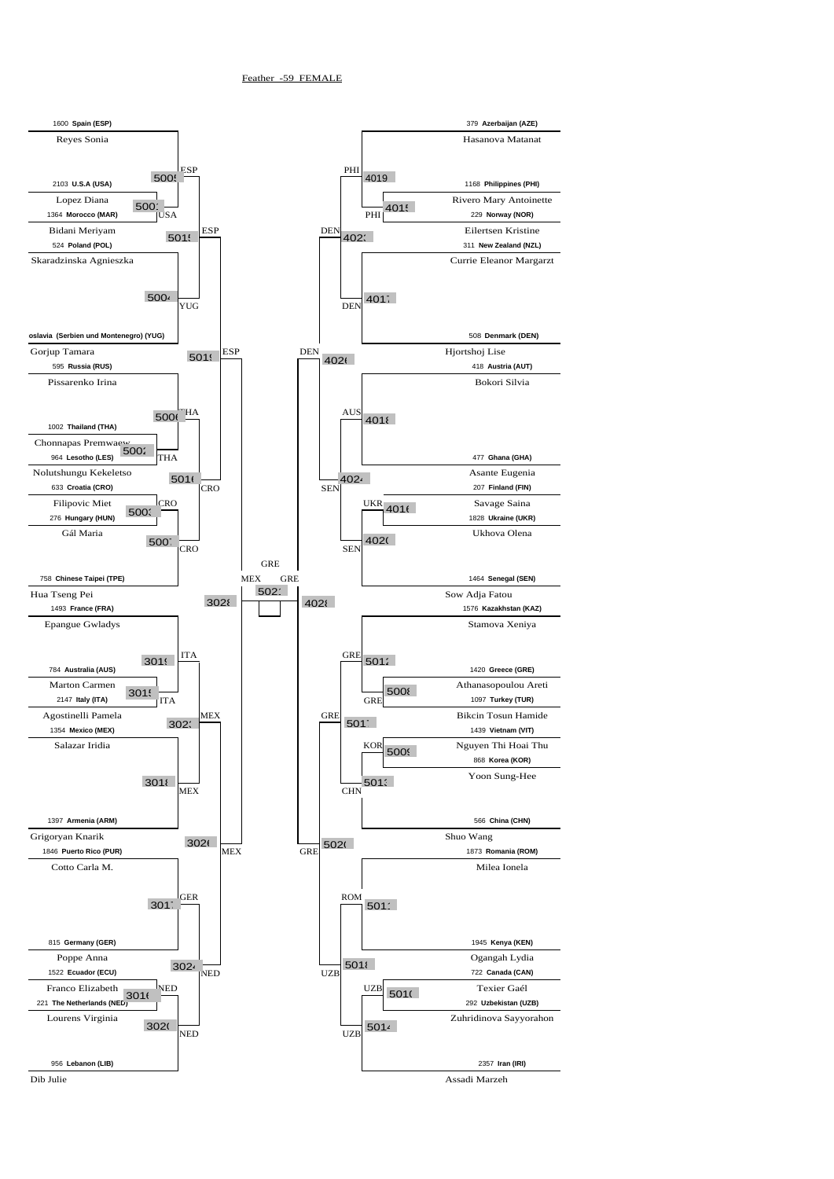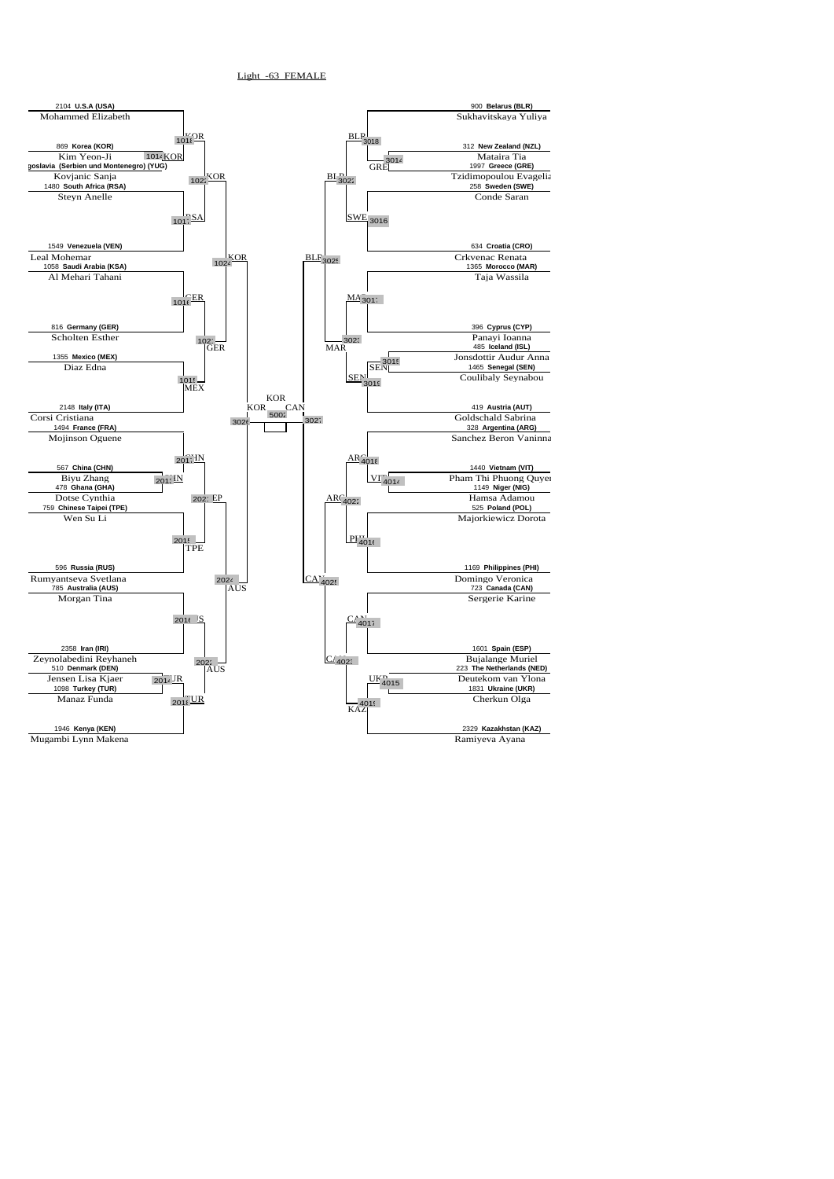![](_page_4_Figure_1.jpeg)

Light -63 FEMALE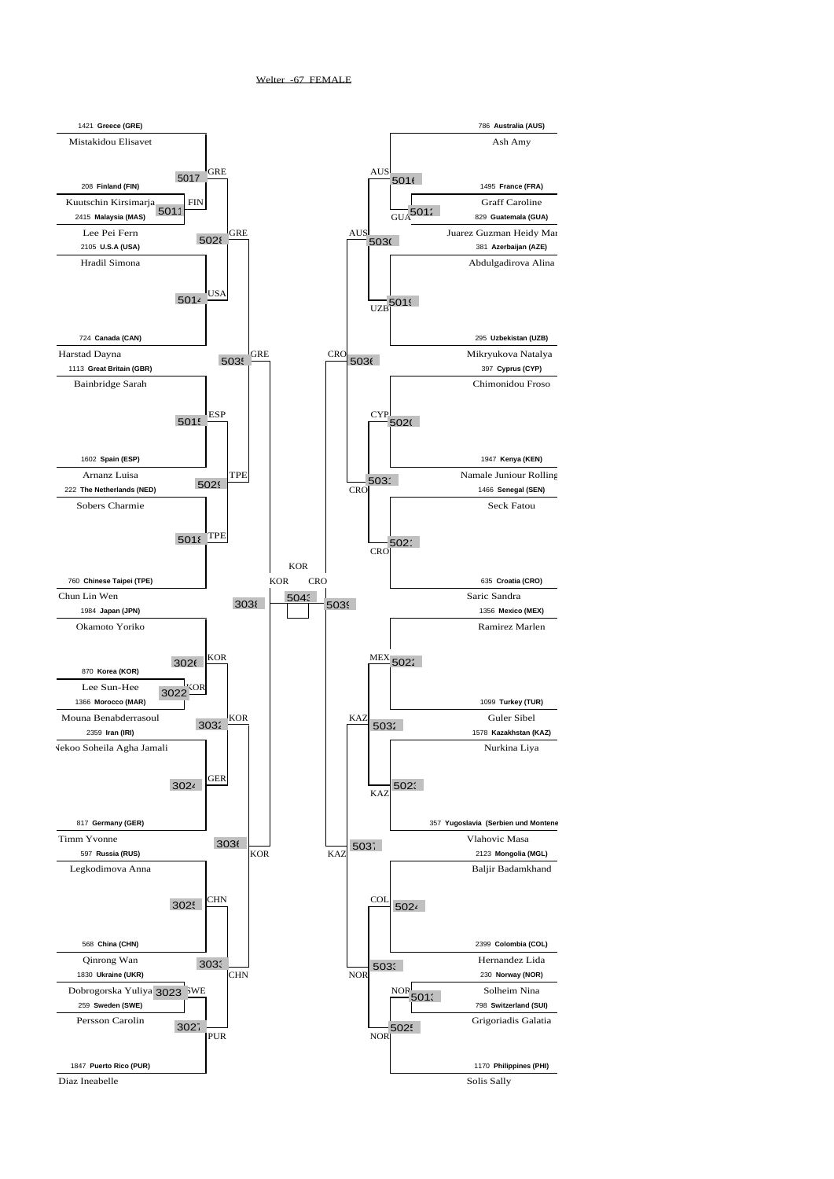![](_page_5_Figure_1.jpeg)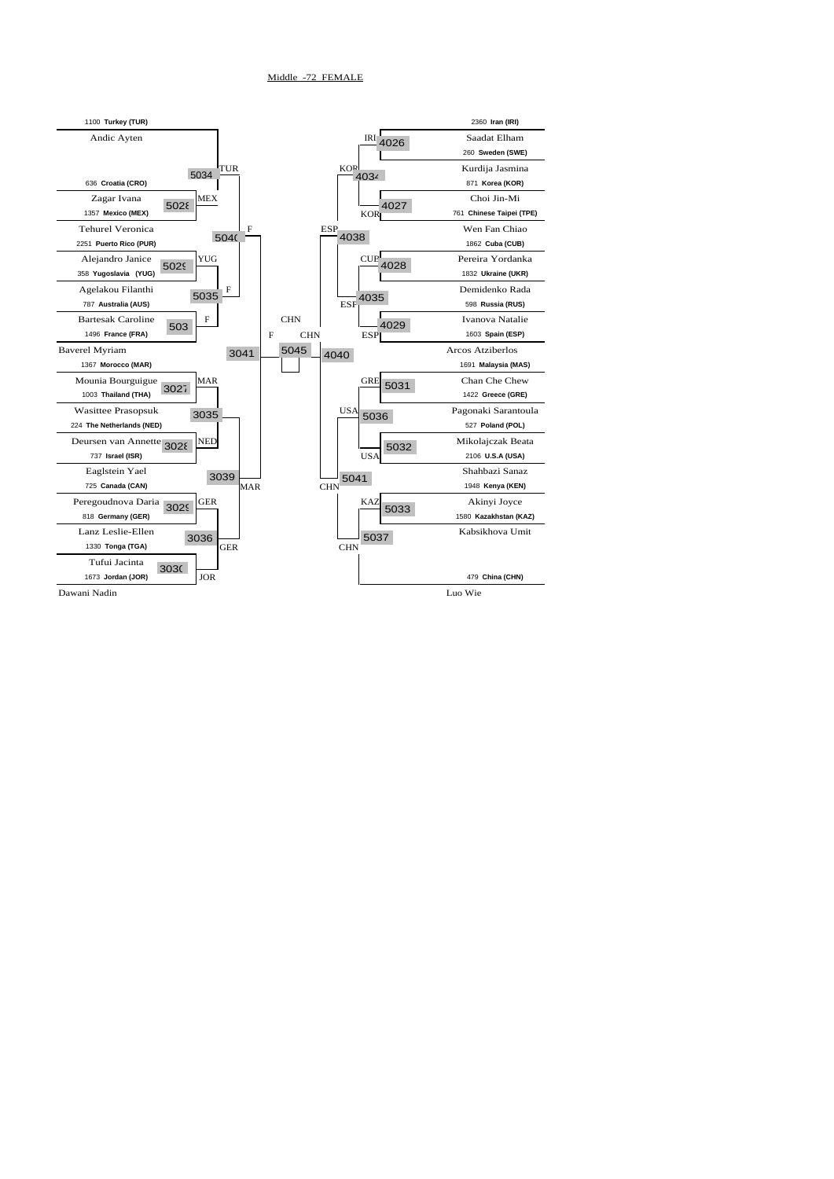![](_page_6_Figure_1.jpeg)

Middle -72 FEMALE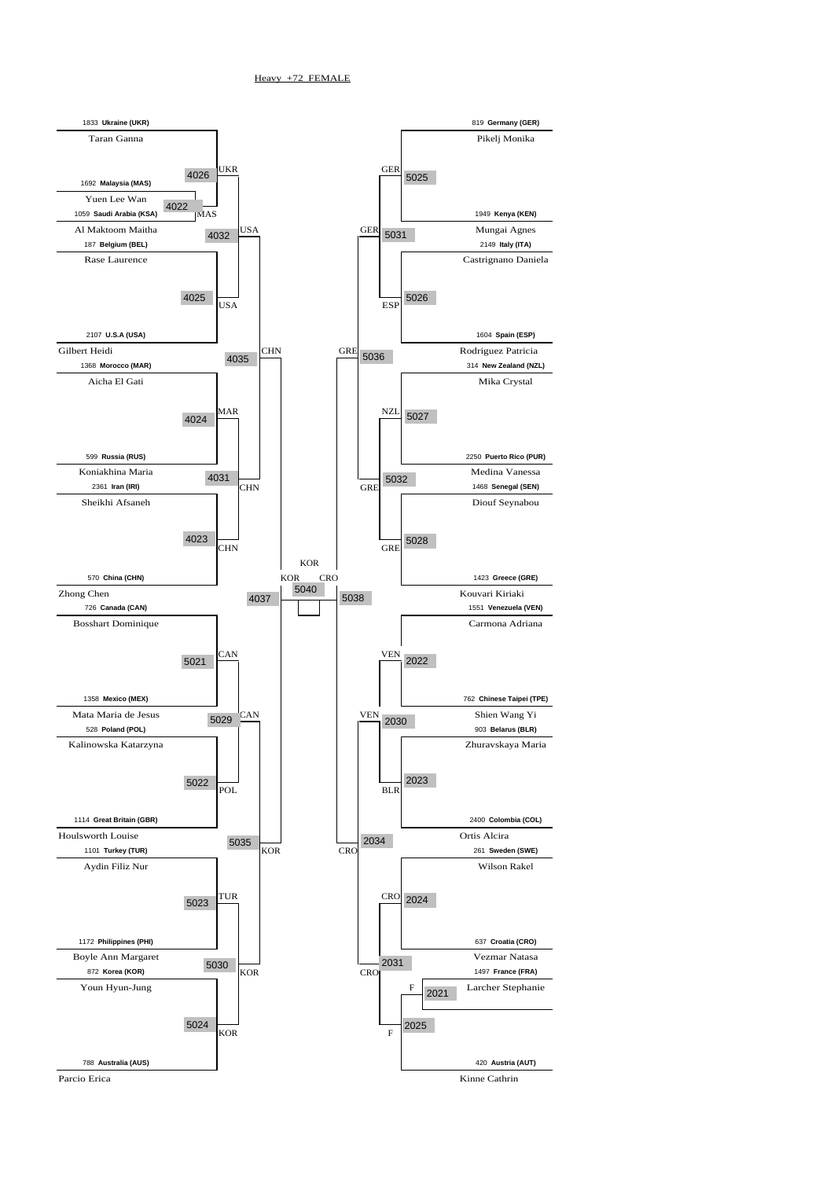![](_page_7_Figure_1.jpeg)

Heavy +72 FEMALE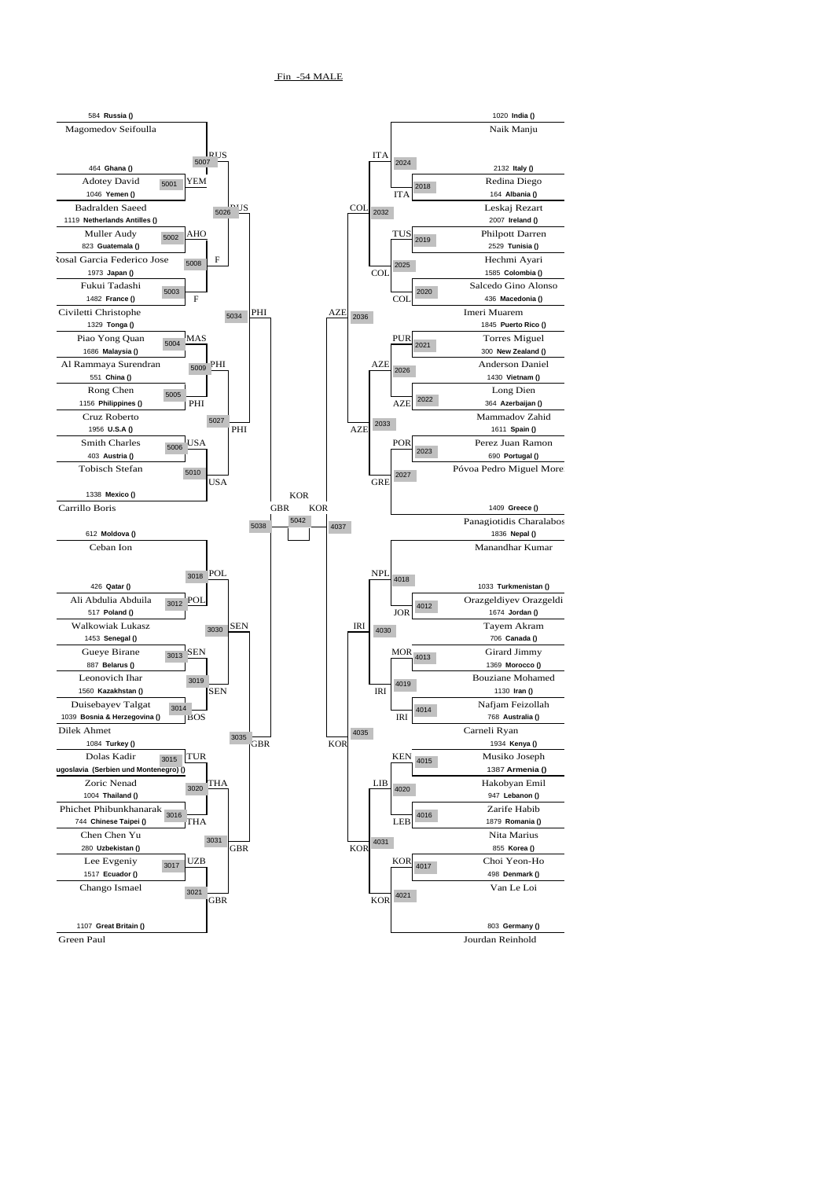![](_page_8_Figure_1.jpeg)

Fin -54 MALE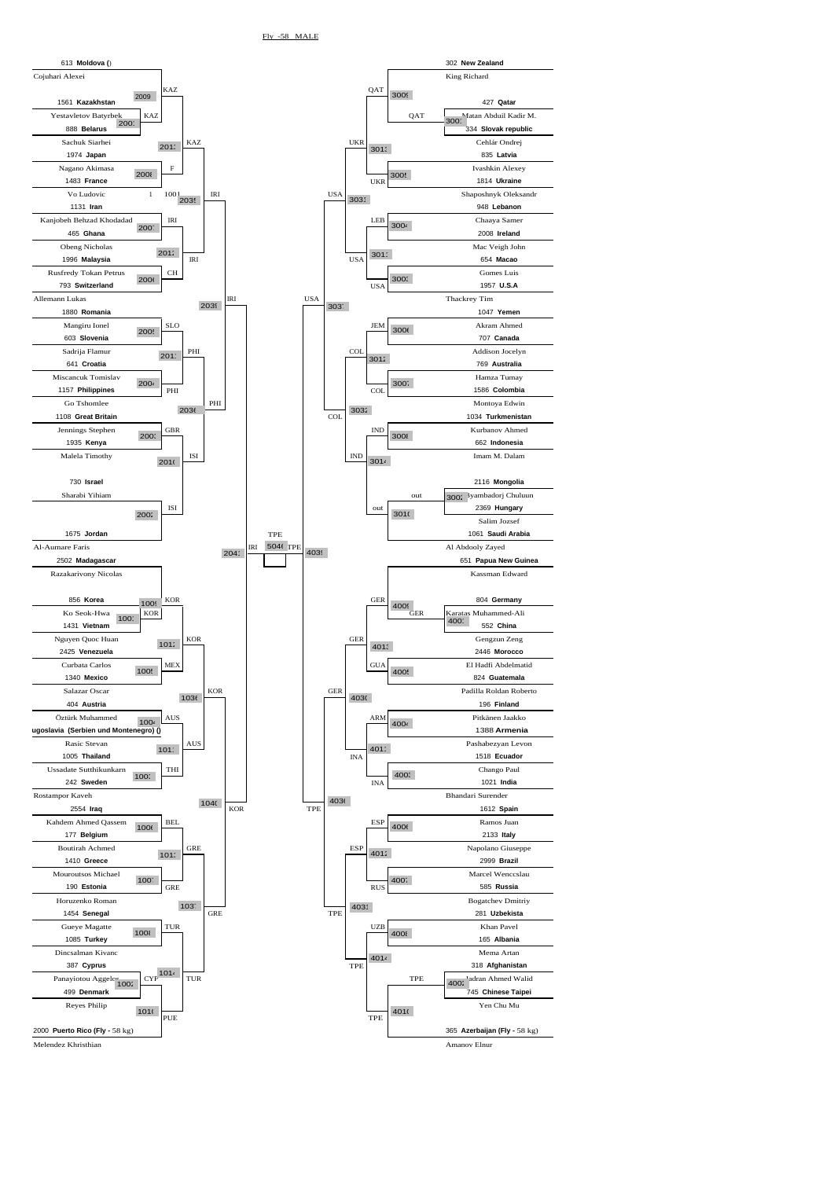![](_page_9_Figure_1.jpeg)

Melendez Khristhian **Amanov Elnur** Amanov Elnur Amanov Elnur Amanov Elnur Amanov Elnur Amanov Elnur Amanov Elnur Amanov Elnur Amanov Elnur Amanov Elnur Amanov Elnur Amanov Elnur Amanov Elnur Amanov Elnur Amanov Elnur Amano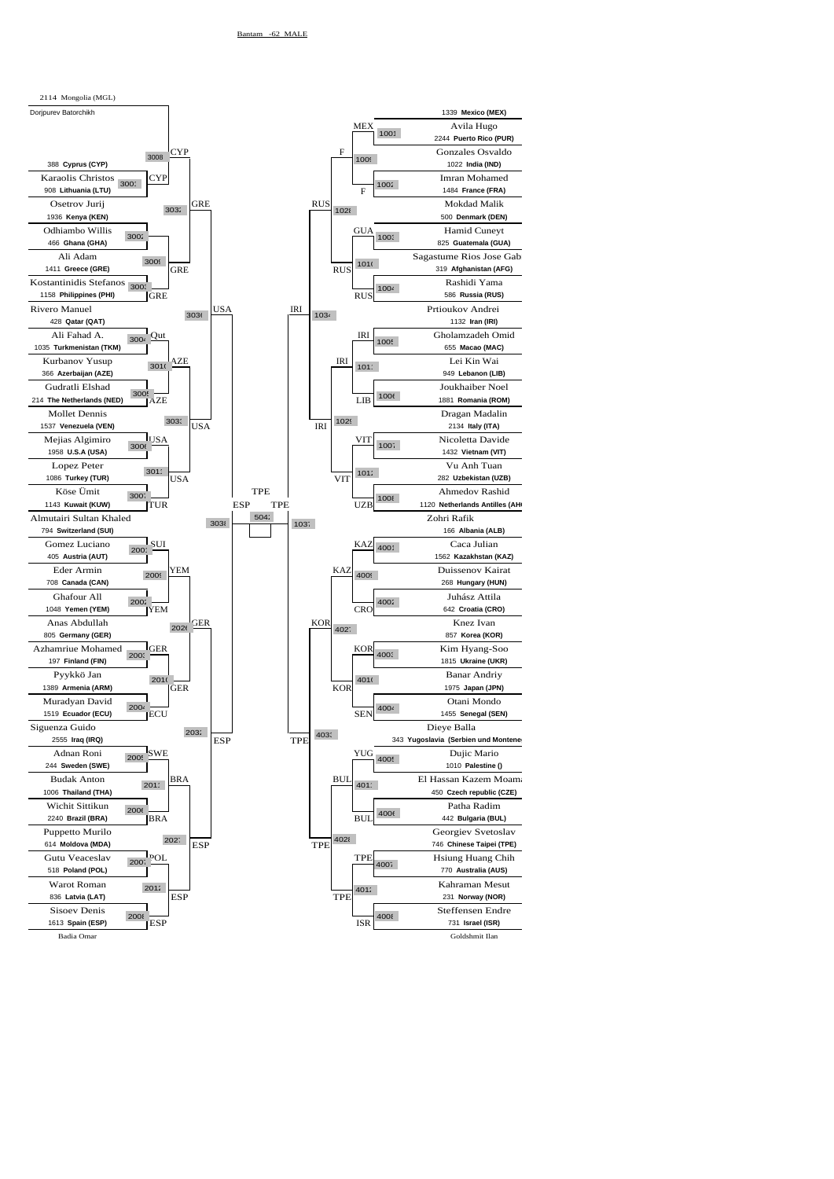![](_page_10_Figure_1.jpeg)

![](_page_10_Figure_2.jpeg)

Badia Omar Goldshmit Ilan

![](_page_10_Figure_3.jpeg)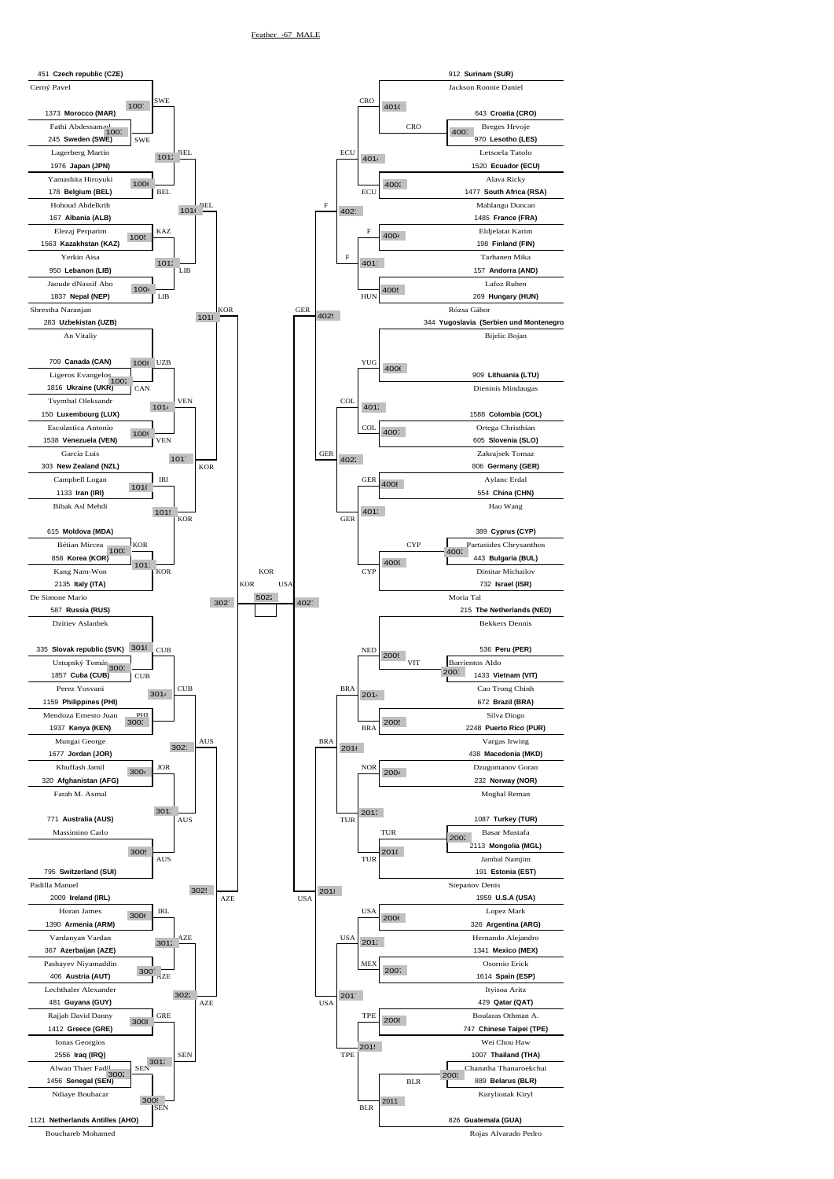![](_page_11_Figure_1.jpeg)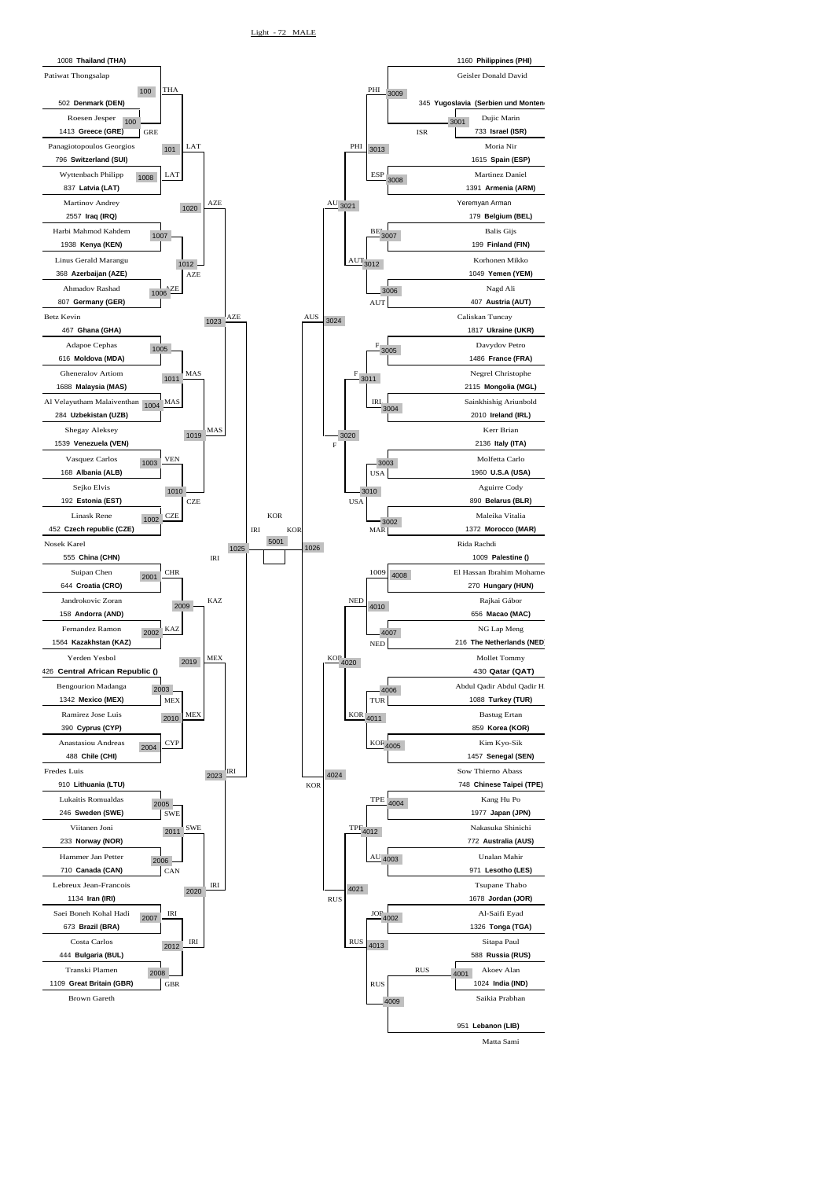![](_page_12_Figure_1.jpeg)

Matta Sami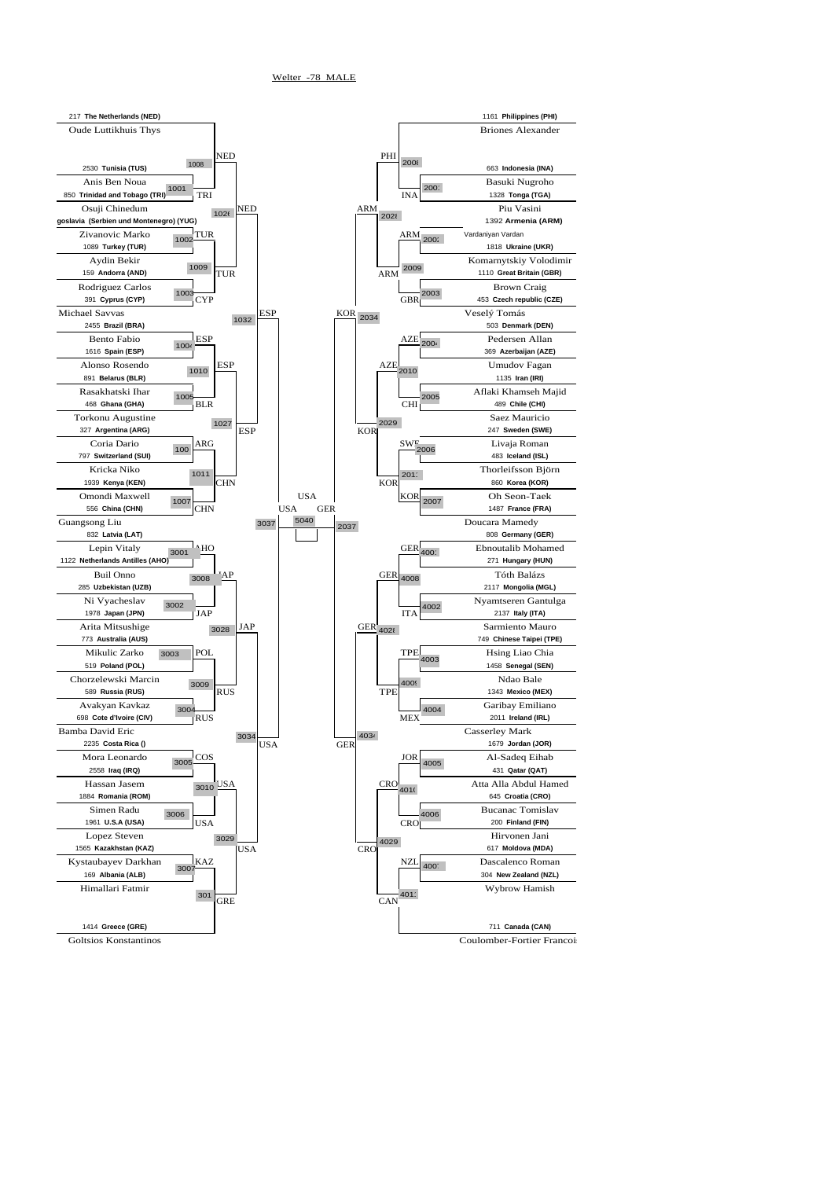![](_page_13_Figure_1.jpeg)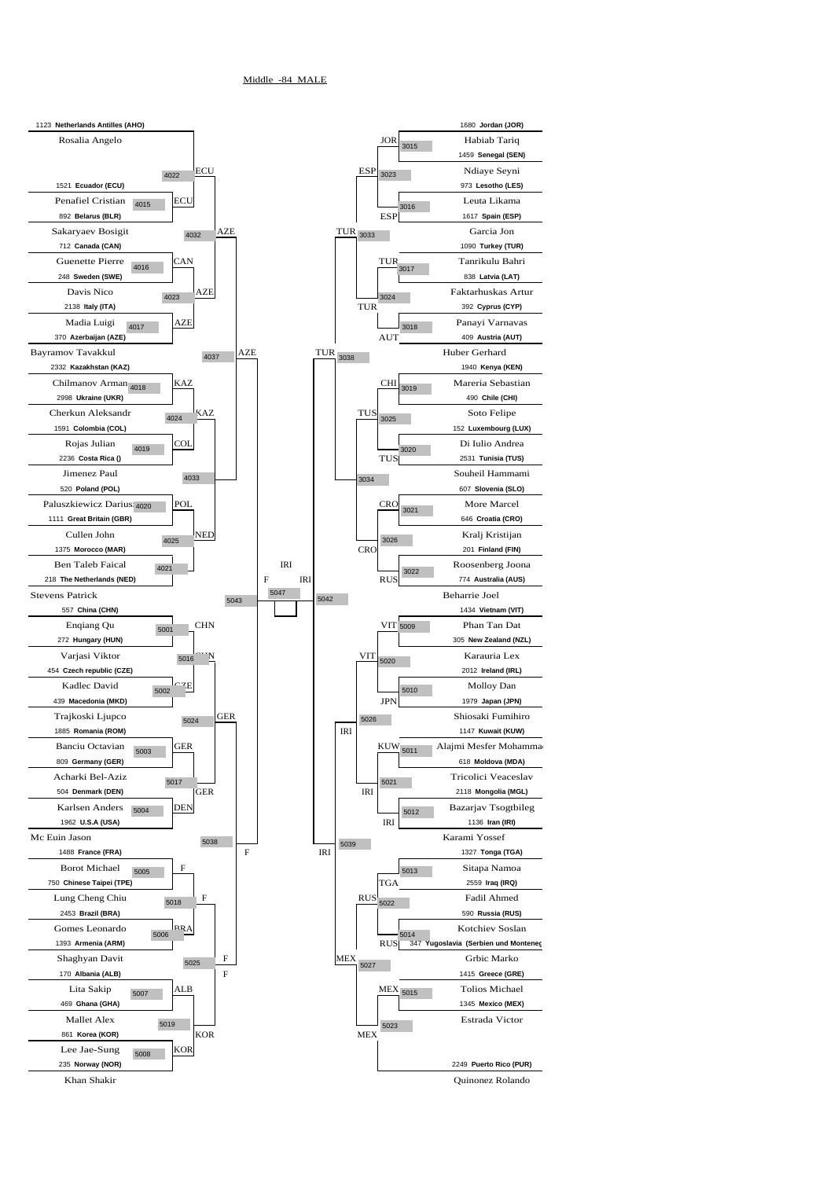![](_page_14_Figure_1.jpeg)